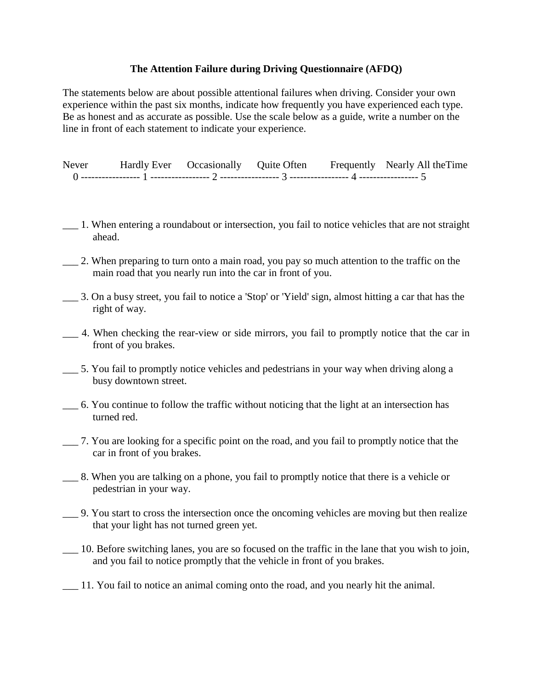## **The Attention Failure during Driving Questionnaire (AFDQ)**

The statements below are about possible attentional failures when driving. Consider your own experience within the past six months, indicate how frequently you have experienced each type. Be as honest and as accurate as possible. Use the scale below as a guide, write a number on the line in front of each statement to indicate your experience.

| Never | Hardly Ever Occasionally Quite Often |  | Frequently Nearly All the Time |
|-------|--------------------------------------|--|--------------------------------|
|       |                                      |  |                                |

- \_\_\_ 1. When entering a roundabout or intersection, you fail to notice vehicles that are not straight ahead.
- \_\_\_ 2. When preparing to turn onto a main road, you pay so much attention to the traffic on the main road that you nearly run into the car in front of you.
- \_\_\_ 3. On a busy street, you fail to notice a 'Stop' or 'Yield' sign, almost hitting a car that has the right of way.
- \_\_\_ 4. When checking the rear-view or side mirrors, you fail to promptly notice that the car in front of you brakes.
- \_\_\_ 5. You fail to promptly notice vehicles and pedestrians in your way when driving along a busy downtown street.
- \_\_\_ 6. You continue to follow the traffic without noticing that the light at an intersection has turned red.
- \_\_\_ 7. You are looking for a specific point on the road, and you fail to promptly notice that the car in front of you brakes.
- \_\_\_ 8. When you are talking on a phone, you fail to promptly notice that there is a vehicle or pedestrian in your way.
	- \_\_\_ 9. You start to cross the intersection once the oncoming vehicles are moving but then realize that your light has not turned green yet.
- \_\_\_ 10. Before switching lanes, you are so focused on the traffic in the lane that you wish to join, and you fail to notice promptly that the vehicle in front of you brakes.
- \_\_\_ 11. You fail to notice an animal coming onto the road, and you nearly hit the animal.